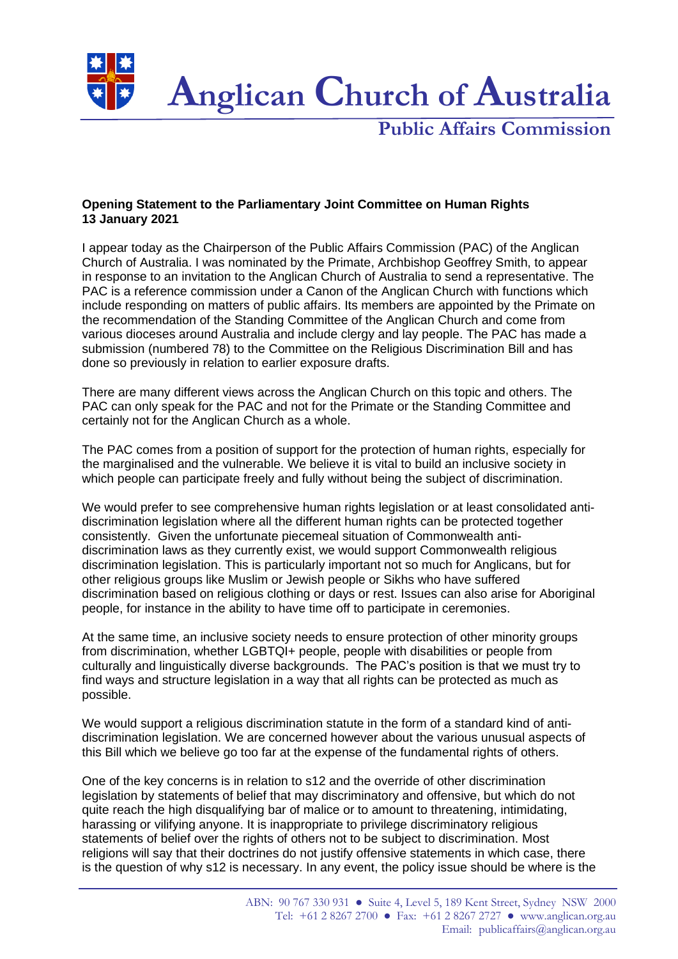

**Public Affairs Commission**

## **Opening Statement to the Parliamentary Joint Committee on Human Rights 13 January 2021**

I appear today as the Chairperson of the Public Affairs Commission (PAC) of the Anglican Church of Australia. I was nominated by the Primate, Archbishop Geoffrey Smith, to appear in response to an invitation to the Anglican Church of Australia to send a representative. The PAC is a reference commission under a Canon of the Anglican Church with functions which include responding on matters of public affairs. Its members are appointed by the Primate on the recommendation of the Standing Committee of the Anglican Church and come from various dioceses around Australia and include clergy and lay people. The PAC has made a submission (numbered 78) to the Committee on the Religious Discrimination Bill and has done so previously in relation to earlier exposure drafts.

There are many different views across the Anglican Church on this topic and others. The PAC can only speak for the PAC and not for the Primate or the Standing Committee and certainly not for the Anglican Church as a whole.

The PAC comes from a position of support for the protection of human rights, especially for the marginalised and the vulnerable. We believe it is vital to build an inclusive society in which people can participate freely and fully without being the subject of discrimination.

We would prefer to see comprehensive human rights legislation or at least consolidated antidiscrimination legislation where all the different human rights can be protected together consistently. Given the unfortunate piecemeal situation of Commonwealth antidiscrimination laws as they currently exist, we would support Commonwealth religious discrimination legislation. This is particularly important not so much for Anglicans, but for other religious groups like Muslim or Jewish people or Sikhs who have suffered discrimination based on religious clothing or days or rest. Issues can also arise for Aboriginal people, for instance in the ability to have time off to participate in ceremonies.

At the same time, an inclusive society needs to ensure protection of other minority groups from discrimination, whether LGBTQI+ people, people with disabilities or people from culturally and linguistically diverse backgrounds. The PAC's position is that we must try to find ways and structure legislation in a way that all rights can be protected as much as possible.

We would support a religious discrimination statute in the form of a standard kind of antidiscrimination legislation. We are concerned however about the various unusual aspects of this Bill which we believe go too far at the expense of the fundamental rights of others.

One of the key concerns is in relation to s12 and the override of other discrimination legislation by statements of belief that may discriminatory and offensive, but which do not quite reach the high disqualifying bar of malice or to amount to threatening, intimidating, harassing or vilifying anyone. It is inappropriate to privilege discriminatory religious statements of belief over the rights of others not to be subject to discrimination. Most religions will say that their doctrines do not justify offensive statements in which case, there is the question of why s12 is necessary. In any event, the policy issue should be where is the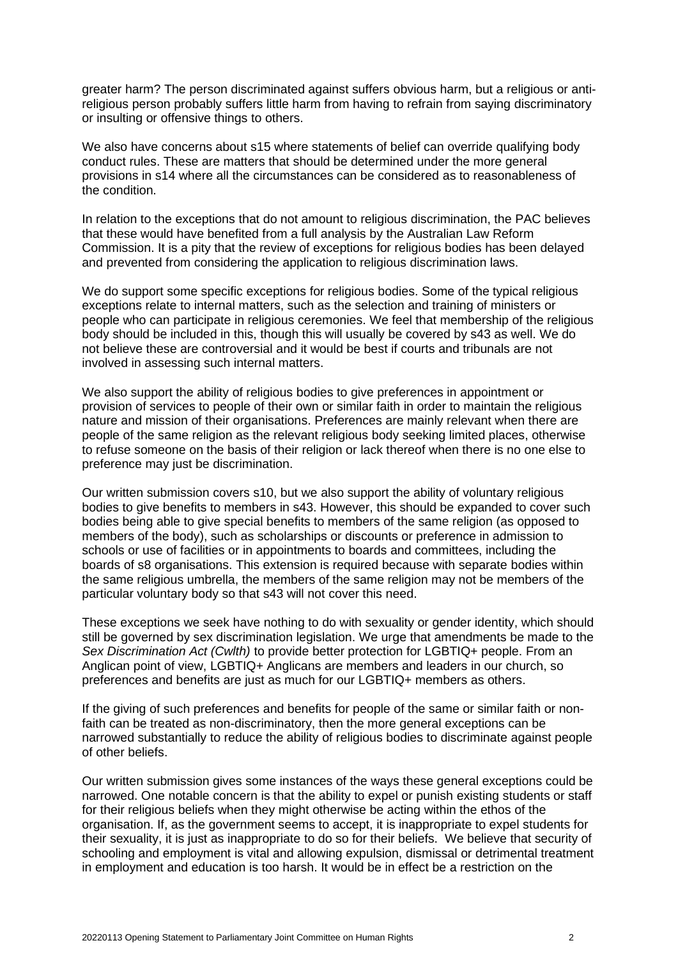greater harm? The person discriminated against suffers obvious harm, but a religious or antireligious person probably suffers little harm from having to refrain from saying discriminatory or insulting or offensive things to others.

We also have concerns about s15 where statements of belief can override qualifying body conduct rules. These are matters that should be determined under the more general provisions in s14 where all the circumstances can be considered as to reasonableness of the condition.

In relation to the exceptions that do not amount to religious discrimination, the PAC believes that these would have benefited from a full analysis by the Australian Law Reform Commission. It is a pity that the review of exceptions for religious bodies has been delayed and prevented from considering the application to religious discrimination laws.

We do support some specific exceptions for religious bodies. Some of the typical religious exceptions relate to internal matters, such as the selection and training of ministers or people who can participate in religious ceremonies. We feel that membership of the religious body should be included in this, though this will usually be covered by s43 as well. We do not believe these are controversial and it would be best if courts and tribunals are not involved in assessing such internal matters.

We also support the ability of religious bodies to give preferences in appointment or provision of services to people of their own or similar faith in order to maintain the religious nature and mission of their organisations. Preferences are mainly relevant when there are people of the same religion as the relevant religious body seeking limited places, otherwise to refuse someone on the basis of their religion or lack thereof when there is no one else to preference may just be discrimination.

Our written submission covers s10, but we also support the ability of voluntary religious bodies to give benefits to members in s43. However, this should be expanded to cover such bodies being able to give special benefits to members of the same religion (as opposed to members of the body), such as scholarships or discounts or preference in admission to schools or use of facilities or in appointments to boards and committees, including the boards of s8 organisations. This extension is required because with separate bodies within the same religious umbrella, the members of the same religion may not be members of the particular voluntary body so that s43 will not cover this need.

These exceptions we seek have nothing to do with sexuality or gender identity, which should still be governed by sex discrimination legislation. We urge that amendments be made to the *Sex Discrimination Act (Cwlth)* to provide better protection for LGBTIQ+ people. From an Anglican point of view, LGBTIQ+ Anglicans are members and leaders in our church, so preferences and benefits are just as much for our LGBTIQ+ members as others.

If the giving of such preferences and benefits for people of the same or similar faith or nonfaith can be treated as non-discriminatory, then the more general exceptions can be narrowed substantially to reduce the ability of religious bodies to discriminate against people of other beliefs.

Our written submission gives some instances of the ways these general exceptions could be narrowed. One notable concern is that the ability to expel or punish existing students or staff for their religious beliefs when they might otherwise be acting within the ethos of the organisation. If, as the government seems to accept, it is inappropriate to expel students for their sexuality, it is just as inappropriate to do so for their beliefs. We believe that security of schooling and employment is vital and allowing expulsion, dismissal or detrimental treatment in employment and education is too harsh. It would be in effect be a restriction on the